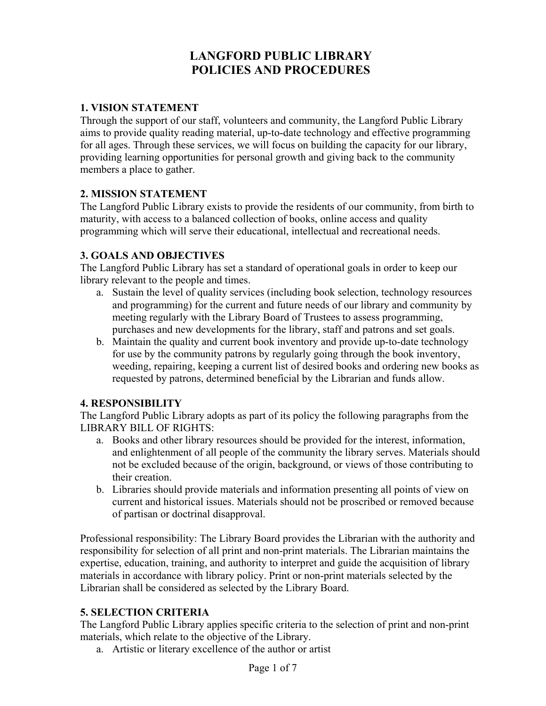# **LANGFORD PUBLIC LIBRARY POLICIES AND PROCEDURES**

#### **1. VISION STATEMENT**

Through the support of our staff, volunteers and community, the Langford Public Library aims to provide quality reading material, up-to-date technology and effective programming for all ages. Through these services, we will focus on building the capacity for our library, providing learning opportunities for personal growth and giving back to the community members a place to gather.

#### **2. MISSION STATEMENT**

The Langford Public Library exists to provide the residents of our community, from birth to maturity, with access to a balanced collection of books, online access and quality programming which will serve their educational, intellectual and recreational needs.

#### **3. GOALS AND OBJECTIVES**

The Langford Public Library has set a standard of operational goals in order to keep our library relevant to the people and times.

- a. Sustain the level of quality services (including book selection, technology resources and programming) for the current and future needs of our library and community by meeting regularly with the Library Board of Trustees to assess programming, purchases and new developments for the library, staff and patrons and set goals.
- b. Maintain the quality and current book inventory and provide up-to-date technology for use by the community patrons by regularly going through the book inventory, weeding, repairing, keeping a current list of desired books and ordering new books as requested by patrons, determined beneficial by the Librarian and funds allow.

#### **4. RESPONSIBILITY**

The Langford Public Library adopts as part of its policy the following paragraphs from the LIBRARY BILL OF RIGHTS:

- a. Books and other library resources should be provided for the interest, information, and enlightenment of all people of the community the library serves. Materials should not be excluded because of the origin, background, or views of those contributing to their creation.
- b. Libraries should provide materials and information presenting all points of view on current and historical issues. Materials should not be proscribed or removed because of partisan or doctrinal disapproval.

Professional responsibility: The Library Board provides the Librarian with the authority and responsibility for selection of all print and non-print materials. The Librarian maintains the expertise, education, training, and authority to interpret and guide the acquisition of library materials in accordance with library policy. Print or non-print materials selected by the Librarian shall be considered as selected by the Library Board.

#### **5. SELECTION CRITERIA**

The Langford Public Library applies specific criteria to the selection of print and non-print materials, which relate to the objective of the Library.

a. Artistic or literary excellence of the author or artist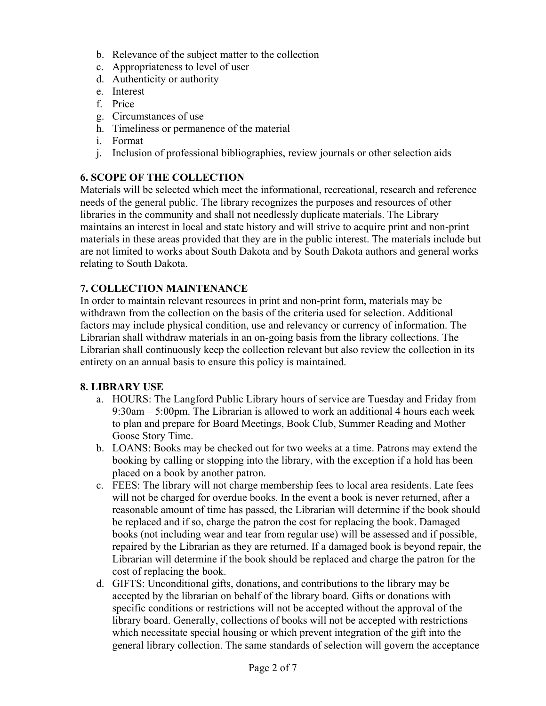- b. Relevance of the subject matter to the collection
- c. Appropriateness to level of user
- d. Authenticity or authority
- e. Interest
- f. Price
- g. Circumstances of use
- h. Timeliness or permanence of the material
- i. Format
- j. Inclusion of professional bibliographies, review journals or other selection aids

# **6. SCOPE OF THE COLLECTION**

Materials will be selected which meet the informational, recreational, research and reference needs of the general public. The library recognizes the purposes and resources of other libraries in the community and shall not needlessly duplicate materials. The Library maintains an interest in local and state history and will strive to acquire print and non-print materials in these areas provided that they are in the public interest. The materials include but are not limited to works about South Dakota and by South Dakota authors and general works relating to South Dakota.

## **7. COLLECTION MAINTENANCE**

In order to maintain relevant resources in print and non-print form, materials may be withdrawn from the collection on the basis of the criteria used for selection. Additional factors may include physical condition, use and relevancy or currency of information. The Librarian shall withdraw materials in an on-going basis from the library collections. The Librarian shall continuously keep the collection relevant but also review the collection in its entirety on an annual basis to ensure this policy is maintained.

#### **8. LIBRARY USE**

- a. HOURS: The Langford Public Library hours of service are Tuesday and Friday from 9:30am – 5:00pm. The Librarian is allowed to work an additional 4 hours each week to plan and prepare for Board Meetings, Book Club, Summer Reading and Mother Goose Story Time.
- b. LOANS: Books may be checked out for two weeks at a time. Patrons may extend the booking by calling or stopping into the library, with the exception if a hold has been placed on a book by another patron.
- c. FEES: The library will not charge membership fees to local area residents. Late fees will not be charged for overdue books. In the event a book is never returned, after a reasonable amount of time has passed, the Librarian will determine if the book should be replaced and if so, charge the patron the cost for replacing the book. Damaged books (not including wear and tear from regular use) will be assessed and if possible, repaired by the Librarian as they are returned. If a damaged book is beyond repair, the Librarian will determine if the book should be replaced and charge the patron for the cost of replacing the book.
- d. GIFTS: Unconditional gifts, donations, and contributions to the library may be accepted by the librarian on behalf of the library board. Gifts or donations with specific conditions or restrictions will not be accepted without the approval of the library board. Generally, collections of books will not be accepted with restrictions which necessitate special housing or which prevent integration of the gift into the general library collection. The same standards of selection will govern the acceptance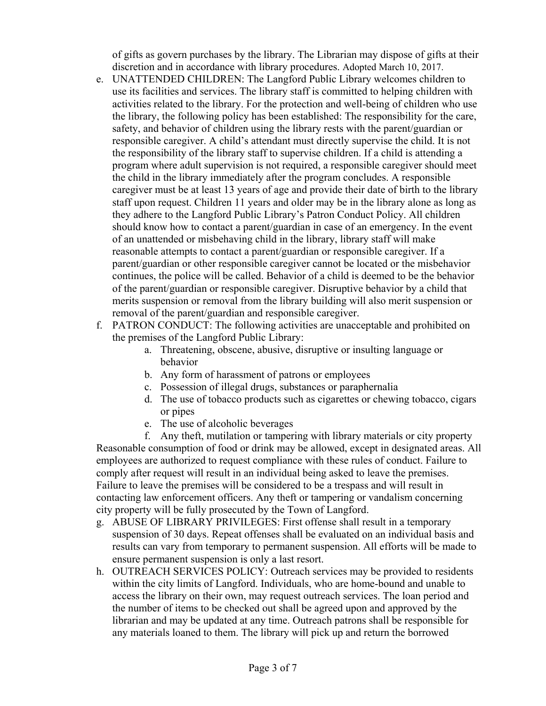of gifts as govern purchases by the library. The Librarian may dispose of gifts at their discretion and in accordance with library procedures. Adopted March 10, 2017.

- e. UNATTENDED CHILDREN: The Langford Public Library welcomes children to use its facilities and services. The library staff is committed to helping children with activities related to the library. For the protection and well-being of children who use the library, the following policy has been established: The responsibility for the care, safety, and behavior of children using the library rests with the parent/guardian or responsible caregiver. A child's attendant must directly supervise the child. It is not the responsibility of the library staff to supervise children. If a child is attending a program where adult supervision is not required, a responsible caregiver should meet the child in the library immediately after the program concludes. A responsible caregiver must be at least 13 years of age and provide their date of birth to the library staff upon request. Children 11 years and older may be in the library alone as long as they adhere to the Langford Public Library's Patron Conduct Policy. All children should know how to contact a parent/guardian in case of an emergency. In the event of an unattended or misbehaving child in the library, library staff will make reasonable attempts to contact a parent/guardian or responsible caregiver. If a parent/guardian or other responsible caregiver cannot be located or the misbehavior continues, the police will be called. Behavior of a child is deemed to be the behavior of the parent/guardian or responsible caregiver. Disruptive behavior by a child that merits suspension or removal from the library building will also merit suspension or removal of the parent/guardian and responsible caregiver.
- f. PATRON CONDUCT: The following activities are unacceptable and prohibited on the premises of the Langford Public Library:
	- a. Threatening, obscene, abusive, disruptive or insulting language or behavior
	- b. Any form of harassment of patrons or employees
	- c. Possession of illegal drugs, substances or paraphernalia
	- d. The use of tobacco products such as cigarettes or chewing tobacco, cigars or pipes
	- e. The use of alcoholic beverages
- f. Any theft, mutilation or tampering with library materials or city property Reasonable consumption of food or drink may be allowed, except in designated areas. All employees are authorized to request compliance with these rules of conduct. Failure to comply after request will result in an individual being asked to leave the premises. Failure to leave the premises will be considered to be a trespass and will result in contacting law enforcement officers. Any theft or tampering or vandalism concerning city property will be fully prosecuted by the Town of Langford.
- g. ABUSE OF LIBRARY PRIVILEGES: First offense shall result in a temporary suspension of 30 days. Repeat offenses shall be evaluated on an individual basis and results can vary from temporary to permanent suspension. All efforts will be made to ensure permanent suspension is only a last resort.
- h. OUTREACH SERVICES POLICY: Outreach services may be provided to residents within the city limits of Langford. Individuals, who are home-bound and unable to access the library on their own, may request outreach services. The loan period and the number of items to be checked out shall be agreed upon and approved by the librarian and may be updated at any time. Outreach patrons shall be responsible for any materials loaned to them. The library will pick up and return the borrowed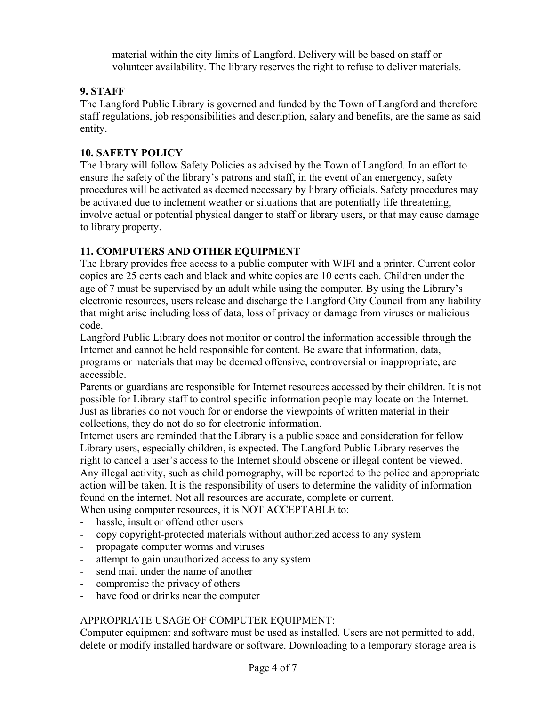material within the city limits of Langford. Delivery will be based on staff or volunteer availability. The library reserves the right to refuse to deliver materials.

## **9. STAFF**

The Langford Public Library is governed and funded by the Town of Langford and therefore staff regulations, job responsibilities and description, salary and benefits, are the same as said entity.

### **10. SAFETY POLICY**

The library will follow Safety Policies as advised by the Town of Langford. In an effort to ensure the safety of the library's patrons and staff, in the event of an emergency, safety procedures will be activated as deemed necessary by library officials. Safety procedures may be activated due to inclement weather or situations that are potentially life threatening, involve actual or potential physical danger to staff or library users, or that may cause damage to library property.

## **11. COMPUTERS AND OTHER EQUIPMENT**

The library provides free access to a public computer with WIFI and a printer. Current color copies are 25 cents each and black and white copies are 10 cents each. Children under the age of 7 must be supervised by an adult while using the computer. By using the Library's electronic resources, users release and discharge the Langford City Council from any liability that might arise including loss of data, loss of privacy or damage from viruses or malicious code.

Langford Public Library does not monitor or control the information accessible through the Internet and cannot be held responsible for content. Be aware that information, data, programs or materials that may be deemed offensive, controversial or inappropriate, are accessible.

Parents or guardians are responsible for Internet resources accessed by their children. It is not possible for Library staff to control specific information people may locate on the Internet. Just as libraries do not vouch for or endorse the viewpoints of written material in their collections, they do not do so for electronic information.

Internet users are reminded that the Library is a public space and consideration for fellow Library users, especially children, is expected. The Langford Public Library reserves the right to cancel a user's access to the Internet should obscene or illegal content be viewed. Any illegal activity, such as child pornography, will be reported to the police and appropriate action will be taken. It is the responsibility of users to determine the validity of information found on the internet. Not all resources are accurate, complete or current. When using computer resources, it is NOT ACCEPTABLE to:

- hassle, insult or offend other users
- copy copyright-protected materials without authorized access to any system
- propagate computer worms and viruses
- attempt to gain unauthorized access to any system
- send mail under the name of another
- compromise the privacy of others
- have food or drinks near the computer

## APPROPRIATE USAGE OF COMPUTER EQUIPMENT:

Computer equipment and software must be used as installed. Users are not permitted to add, delete or modify installed hardware or software. Downloading to a temporary storage area is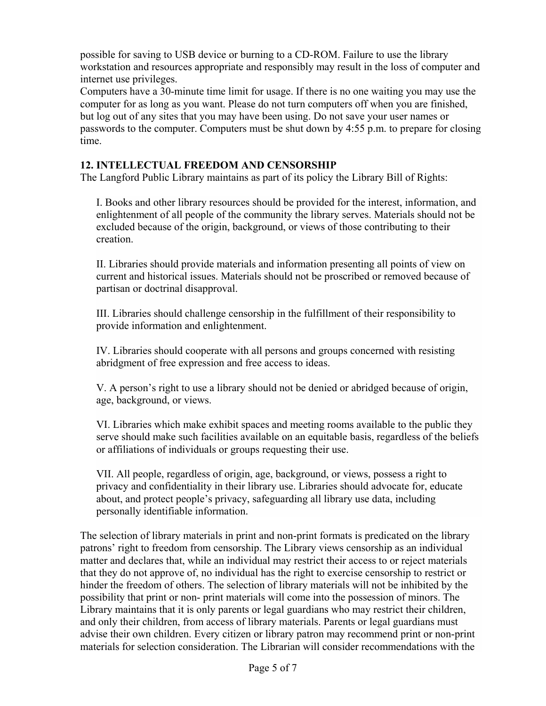possible for saving to USB device or burning to a CD-ROM. Failure to use the library workstation and resources appropriate and responsibly may result in the loss of computer and internet use privileges.

Computers have a 30-minute time limit for usage. If there is no one waiting you may use the computer for as long as you want. Please do not turn computers off when you are finished, but log out of any sites that you may have been using. Do not save your user names or passwords to the computer. Computers must be shut down by 4:55 p.m. to prepare for closing time.

### **12. INTELLECTUAL FREEDOM AND CENSORSHIP**

The Langford Public Library maintains as part of its policy the Library Bill of Rights:

I. Books and other library resources should be provided for the interest, information, and enlightenment of all people of the community the library serves. Materials should not be excluded because of the origin, background, or views of those contributing to their creation.

II. Libraries should provide materials and information presenting all points of view on current and historical issues. Materials should not be proscribed or removed because of partisan or doctrinal disapproval.

III. Libraries should challenge censorship in the fulfillment of their responsibility to provide information and enlightenment.

IV. Libraries should cooperate with all persons and groups concerned with resisting abridgment of free expression and free access to ideas.

V. A person's right to use a library should not be denied or abridged because of origin, age, background, or views.

VI. Libraries which make exhibit spaces and meeting rooms available to the public they serve should make such facilities available on an equitable basis, regardless of the beliefs or affiliations of individuals or groups requesting their use.

VII. All people, regardless of origin, age, background, or views, possess a right to privacy and confidentiality in their library use. Libraries should advocate for, educate about, and protect people's privacy, safeguarding all library use data, including personally identifiable information.

The selection of library materials in print and non-print formats is predicated on the library patrons' right to freedom from censorship. The Library views censorship as an individual matter and declares that, while an individual may restrict their access to or reject materials that they do not approve of, no individual has the right to exercise censorship to restrict or hinder the freedom of others. The selection of library materials will not be inhibited by the possibility that print or non- print materials will come into the possession of minors. The Library maintains that it is only parents or legal guardians who may restrict their children, and only their children, from access of library materials. Parents or legal guardians must advise their own children. Every citizen or library patron may recommend print or non-print materials for selection consideration. The Librarian will consider recommendations with the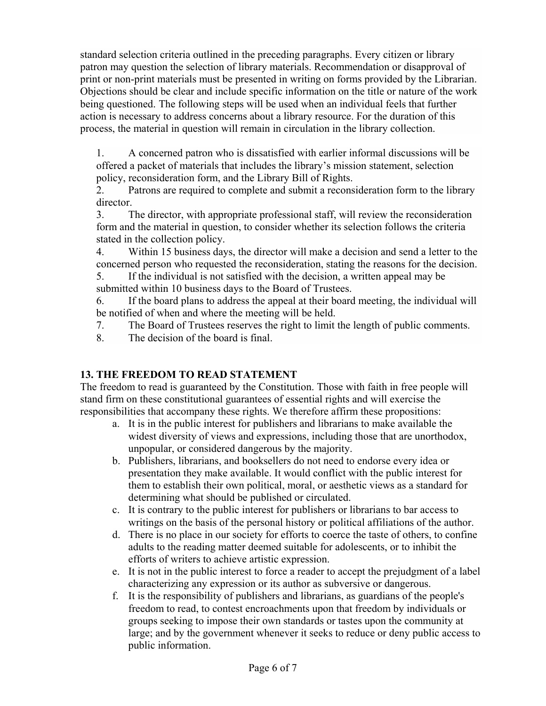standard selection criteria outlined in the preceding paragraphs. Every citizen or library patron may question the selection of library materials. Recommendation or disapproval of print or non-print materials must be presented in writing on forms provided by the Librarian. Objections should be clear and include specific information on the title or nature of the work being questioned. The following steps will be used when an individual feels that further action is necessary to address concerns about a library resource. For the duration of this process, the material in question will remain in circulation in the library collection.

1. A concerned patron who is dissatisfied with earlier informal discussions will be offered a packet of materials that includes the library's mission statement, selection policy, reconsideration form, and the Library Bill of Rights.

2. Patrons are required to complete and submit a reconsideration form to the library director.

3. The director, with appropriate professional staff, will review the reconsideration form and the material in question, to consider whether its selection follows the criteria stated in the collection policy.

4. Within 15 business days, the director will make a decision and send a letter to the concerned person who requested the reconsideration, stating the reasons for the decision.

5. If the individual is not satisfied with the decision, a written appeal may be submitted within 10 business days to the Board of Trustees.

6. If the board plans to address the appeal at their board meeting, the individual will be notified of when and where the meeting will be held.

7. The Board of Trustees reserves the right to limit the length of public comments.

8. The decision of the board is final.

## **13. THE FREEDOM TO READ STATEMENT**

The freedom to read is guaranteed by the Constitution. Those with faith in free people will stand firm on these constitutional guarantees of essential rights and will exercise the responsibilities that accompany these rights. We therefore affirm these propositions:

- a. It is in the public interest for publishers and librarians to make available the widest diversity of views and expressions, including those that are unorthodox, unpopular, or considered dangerous by the majority.
- b. Publishers, librarians, and booksellers do not need to endorse every idea or presentation they make available. It would conflict with the public interest for them to establish their own political, moral, or aesthetic views as a standard for determining what should be published or circulated.
- c. It is contrary to the public interest for publishers or librarians to bar access to writings on the basis of the personal history or political affiliations of the author.
- d. There is no place in our society for efforts to coerce the taste of others, to confine adults to the reading matter deemed suitable for adolescents, or to inhibit the efforts of writers to achieve artistic expression.
- e. It is not in the public interest to force a reader to accept the prejudgment of a label characterizing any expression or its author as subversive or dangerous.
- f. It is the responsibility of publishers and librarians, as guardians of the people's freedom to read, to contest encroachments upon that freedom by individuals or groups seeking to impose their own standards or tastes upon the community at large; and by the government whenever it seeks to reduce or deny public access to public information.